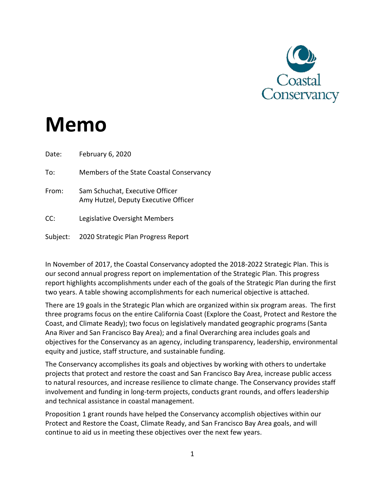

# **Memo**

Date: February 6, 2020 To: Members of the State Coastal Conservancy From: Sam Schuchat, Executive Officer Amy Hutzel, Deputy Executive Officer CC: Legislative Oversight Members Subject: 2020 Strategic Plan Progress Report

In November of 2017, the Coastal Conservancy adopted the 2018-2022 Strategic Plan. This is our second annual progress report on implementation of the Strategic Plan. This progress report highlights accomplishments under each of the goals of the Strategic Plan during the first two years. A table showing accomplishments for each numerical objective is attached.

There are 19 goals in the Strategic Plan which are organized within six program areas. The first three programs focus on the entire California Coast (Explore the Coast, Protect and Restore the Coast, and Climate Ready); two focus on legislatively mandated geographic programs (Santa Ana River and San Francisco Bay Area); and a final Overarching area includes goals and objectives for the Conservancy as an agency, including transparency, leadership, environmental equity and justice, staff structure, and sustainable funding.

The Conservancy accomplishes its goals and objectives by working with others to undertake projects that protect and restore the coast and San Francisco Bay Area, increase public access to natural resources, and increase resilience to climate change. The Conservancy provides staff involvement and funding in long-term projects, conducts grant rounds, and offers leadership and technical assistance in coastal management.

Proposition 1 grant rounds have helped the Conservancy accomplish objectives within our Protect and Restore the Coast, Climate Ready, and San Francisco Bay Area goals, and will continue to aid us in meeting these objectives over the next few years.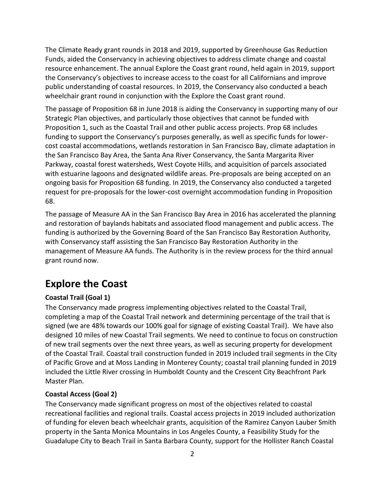The Climate Ready grant rounds in 2018 and 2019, supported by Greenhouse Gas Reduction Funds, aided the Conservancy in achieving objectives to address climate change and coastal resource enhancement. The annual Explore the Coast grant round, held again in 2019, support the Conservancy's objectives to increase access to the coast for all Californians and improve public understanding of coastal resources. In 2019, the Conservancy also conducted a beach wheelchair grant round in conjunction with the Explore the Coast grant round.

The passage of Proposition 68 in June 2018 is aiding the Conservancy in supporting many of our Strategic Plan objectives, and particularly those objectives that cannot be funded with Proposition 1, such as the Coastal Trail and other public access projects. Prop 68 includes funding to support the Conservancy's purposes generally, as well as specific funds for lowercost coastal accommodations, wetlands restoration in San Francisco Bay, climate adaptation in the San Francisco Bay Area, the Santa Ana River Conservancy, the Santa Margarita River Parkway, coastal forest watersheds, West Coyote Hills, and acquisition of parcels associated with estuarine lagoons and designated wildlife areas. Pre-proposals are being accepted on an ongoing basis for Proposition 68 funding. In 2019, the Conservancy also conducted a targeted request for pre-proposals for the lower-cost overnight accommodation funding in Proposition 68.

The passage of Measure AA in the San Francisco Bay Area in 2016 has accelerated the planning and restoration of baylands habitats and associated flood management and public access. The funding is authorized by the Governing Board of the San Francisco Bay Restoration Authority, with Conservancy staff assisting the San Francisco Bay Restoration Authority in the management of Measure AA funds. The Authority is in the review process for the third annual grant round now.

### **Explore the Coast**

### **Coastal Trail (Goal 1)**

The Conservancy made progress implementing objectives related to the Coastal Trail, completing a map of the Coastal Trail network and determining percentage of the trail that is signed (we are 48% towards our 100% goal for signage of existing Coastal Trail). We have also designed 10 miles of new Coastal Trail segments. We need to continue to focus on construction of new trail segments over the next three years, as well as securing property for development of the Coastal Trail. Coastal trail construction funded in 2019 included trail segments in the City of Pacific Grove and at Moss Landing in Monterey County; coastal trail planning funded in 2019 included the Little River crossing in Humboldt County and the Crescent City Beachfront Park Master Plan.

#### **Coastal Access (Goal 2)**

The Conservancy made significant progress on most of the objectives related to coastal recreational facilities and regional trails. Coastal access projects in 2019 included authorization of funding for eleven beach wheelchair grants, acquisition of the Ramirez Canyon Lauber Smith property in the Santa Monica Mountains in Los Angeles County, a Feasibility Study for the Guadalupe City to Beach Trail in Santa Barbara County, support for the Hollister Ranch Coastal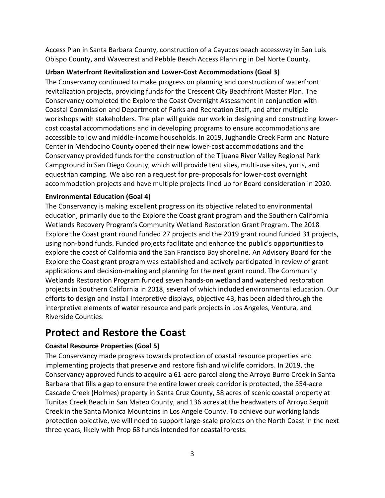Access Plan in Santa Barbara County, construction of a Cayucos beach accessway in San Luis Obispo County, and Wavecrest and Pebble Beach Access Planning in Del Norte County.

### **Urban Waterfront Revitalization and Lower-Cost Accommodations (Goal 3)**

The Conservancy continued to make progress on planning and construction of waterfront revitalization projects, providing funds for the Crescent City Beachfront Master Plan. The Conservancy completed the Explore the Coast Overnight Assessment in conjunction with Coastal Commission and Department of Parks and Recreation Staff, and after multiple workshops with stakeholders. The plan will guide our work in designing and constructing lowercost coastal accommodations and in developing programs to ensure accommodations are accessible to low and middle-income households. In 2019, Jughandle Creek Farm and Nature Center in Mendocino County opened their new lower-cost accommodations and the Conservancy provided funds for the construction of the Tijuana River Valley Regional Park Campground in San Diego County, which will provide tent sites, multi-use sites, yurts, and equestrian camping. We also ran a request for pre-proposals for lower-cost overnight accommodation projects and have multiple projects lined up for Board consideration in 2020.

### **Environmental Education (Goal 4)**

The Conservancy is making excellent progress on its objective related to environmental education, primarily due to the Explore the Coast grant program and the Southern California Wetlands Recovery Program's Community Wetland Restoration Grant Program. The 2018 Explore the Coast grant round funded 27 projects and the 2019 grant round funded 31 projects, using non-bond funds. Funded projects facilitate and enhance the public's opportunities to explore the coast of California and the San Francisco Bay shoreline. An Advisory Board for the Explore the Coast grant program was established and actively participated in review of grant applications and decision-making and planning for the next grant round. The Community Wetlands Restoration Program funded seven hands-on wetland and watershed restoration projects in Southern California in 2018, several of which included environmental education. Our efforts to design and install interpretive displays, objective 4B, has been aided through the interpretive elements of water resource and park projects in Los Angeles, Ventura, and Riverside Counties.

### **Protect and Restore the Coast**

### **Coastal Resource Properties (Goal 5)**

The Conservancy made progress towards protection of coastal resource properties and implementing projects that preserve and restore fish and wildlife corridors. In 2019, the Conservancy approved funds to acquire a 61-acre parcel along the Arroyo Burro Creek in Santa Barbara that fills a gap to ensure the entire lower creek corridor is protected, the 554-acre Cascade Creek (Holmes) property in Santa Cruz County, 58 acres of scenic coastal property at Tunitas Creek Beach in San Mateo County, and 136 acres at the headwaters of Arroyo Sequit Creek in the Santa Monica Mountains in Los Angele County. To achieve our working lands protection objective, we will need to support large-scale projects on the North Coast in the next three years, likely with Prop 68 funds intended for coastal forests.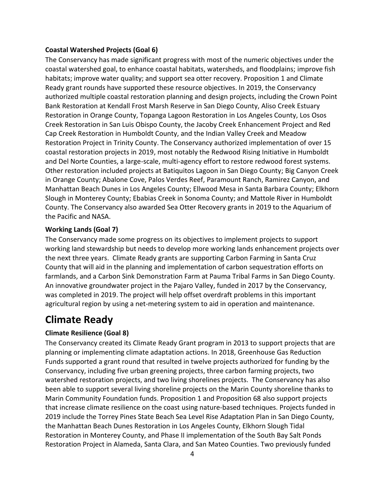### **Coastal Watershed Projects (Goal 6)**

The Conservancy has made significant progress with most of the numeric objectives under the coastal watershed goal, to enhance coastal habitats, watersheds, and floodplains; improve fish habitats; improve water quality; and support sea otter recovery. Proposition 1 and Climate Ready grant rounds have supported these resource objectives. In 2019, the Conservancy authorized multiple coastal restoration planning and design projects, including the Crown Point Bank Restoration at Kendall Frost Marsh Reserve in San Diego County, Aliso Creek Estuary Restoration in Orange County, Topanga Lagoon Restoration in Los Angeles County, Los Osos Creek Restoration in San Luis Obispo County, the Jacoby Creek Enhancement Project and Red Cap Creek Restoration in Humboldt County, and the Indian Valley Creek and Meadow Restoration Project in Trinity County. The Conservancy authorized implementation of over 15 coastal restoration projects in 2019, most notably the Redwood Rising Initiative in Humboldt and Del Norte Counties, a large-scale, multi-agency effort to restore redwood forest systems. Other restoration included projects at Batiquitos Lagoon in San Diego County; Big Canyon Creek in Orange County; Abalone Cove, Palos Verdes Reef, Paramount Ranch, Ramirez Canyon, and Manhattan Beach Dunes in Los Angeles County; Ellwood Mesa in Santa Barbara County; Elkhorn Slough in Monterey County; Ebabias Creek in Sonoma County; and Mattole River in Humboldt County. The Conservancy also awarded Sea Otter Recovery grants in 2019 to the Aquarium of the Pacific and NASA.

### **Working Lands (Goal 7)**

The Conservancy made some progress on its objectives to implement projects to support working land stewardship but needs to develop more working lands enhancement projects over the next three years. Climate Ready grants are supporting Carbon Farming in Santa Cruz County that will aid in the planning and implementation of carbon sequestration efforts on farmlands, and a Carbon Sink Demonstration Farm at Pauma Tribal Farms in San Diego County. An innovative groundwater project in the Pajaro Valley, funded in 2017 by the Conservancy, was completed in 2019. The project will help offset overdraft problems in this important agricultural region by using a net-metering system to aid in operation and maintenance.

### **Climate Ready**

### **Climate Resilience (Goal 8)**

The Conservancy created its Climate Ready Grant program in 2013 to support projects that are planning or implementing climate adaptation actions. In 2018, Greenhouse Gas Reduction Funds supported a grant round that resulted in twelve projects authorized for funding by the Conservancy, including five urban greening projects, three carbon farming projects, two watershed restoration projects, and two living shorelines projects. The Conservancy has also been able to support several living shoreline projects on the Marin County shoreline thanks to Marin Community Foundation funds. Proposition 1 and Proposition 68 also support projects that increase climate resilience on the coast using nature-based techniques. Projects funded in 2019 include the Torrey Pines State Beach Sea Level Rise Adaptation Plan in San Diego County, the Manhattan Beach Dunes Restoration in Los Angeles County, Elkhorn Slough Tidal Restoration in Monterey County, and Phase II implementation of the South Bay Salt Ponds Restoration Project in Alameda, Santa Clara, and San Mateo Counties. Two previously funded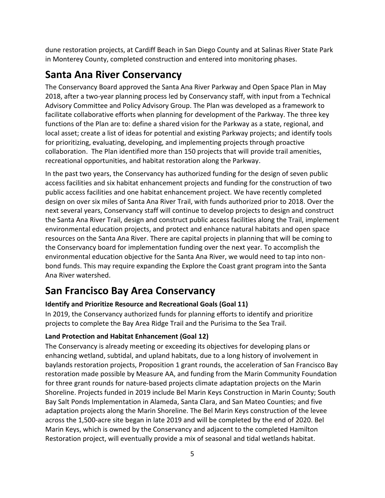dune restoration projects, at Cardiff Beach in San Diego County and at Salinas River State Park in Monterey County, completed construction and entered into monitoring phases.

### **Santa Ana River Conservancy**

The Conservancy Board approved the Santa Ana River Parkway and Open Space Plan in May 2018, after a two-year planning process led by Conservancy staff, with input from a Technical Advisory Committee and Policy Advisory Group. The Plan was developed as a framework to facilitate collaborative efforts when planning for development of the Parkway. The three key functions of the Plan are to: define a shared vision for the Parkway as a state, regional, and local asset; create a list of ideas for potential and existing Parkway projects; and identify tools for prioritizing, evaluating, developing, and implementing projects through proactive collaboration. The Plan identified more than 150 projects that will provide trail amenities, recreational opportunities, and habitat restoration along the Parkway.

In the past two years, the Conservancy has authorized funding for the design of seven public access facilities and six habitat enhancement projects and funding for the construction of two public access facilities and one habitat enhancement project. We have recently completed design on over six miles of Santa Ana River Trail, with funds authorized prior to 2018. Over the next several years, Conservancy staff will continue to develop projects to design and construct the Santa Ana River Trail, design and construct public access facilities along the Trail, implement environmental education projects, and protect and enhance natural habitats and open space resources on the Santa Ana River. There are capital projects in planning that will be coming to the Conservancy board for implementation funding over the next year. To accomplish the environmental education objective for the Santa Ana River, we would need to tap into nonbond funds. This may require expanding the Explore the Coast grant program into the Santa Ana River watershed.

### **San Francisco Bay Area Conservancy**

### **Identify and Prioritize Resource and Recreational Goals (Goal 11)**

In 2019, the Conservancy authorized funds for planning efforts to identify and prioritize projects to complete the Bay Area Ridge Trail and the Purisima to the Sea Trail.

### **Land Protection and Habitat Enhancement (Goal 12)**

The Conservancy is already meeting or exceeding its objectives for developing plans or enhancing wetland, subtidal, and upland habitats, due to a long history of involvement in baylands restoration projects, Proposition 1 grant rounds, the acceleration of San Francisco Bay restoration made possible by Measure AA, and funding from the Marin Community Foundation for three grant rounds for nature-based projects climate adaptation projects on the Marin Shoreline. Projects funded in 2019 include Bel Marin Keys Construction in Marin County; South Bay Salt Ponds Implementation in Alameda, Santa Clara, and San Mateo Counties; and five adaptation projects along the Marin Shoreline. The Bel Marin Keys construction of the levee across the 1,500-acre site began in late 2019 and will be completed by the end of 2020. Bel Marin Keys, which is owned by the Conservancy and adjacent to the completed Hamilton Restoration project, will eventually provide a mix of seasonal and tidal wetlands habitat.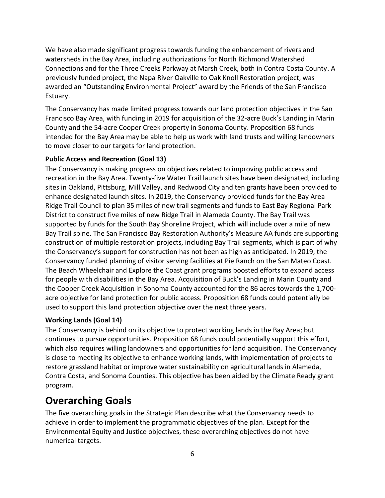We have also made significant progress towards funding the enhancement of rivers and watersheds in the Bay Area, including authorizations for North Richmond Watershed Connections and for the Three Creeks Parkway at Marsh Creek, both in Contra Costa County. A previously funded project, the Napa River Oakville to Oak Knoll Restoration project, was awarded an "Outstanding Environmental Project" award by the Friends of the San Francisco Estuary.

The Conservancy has made limited progress towards our land protection objectives in the San Francisco Bay Area, with funding in 2019 for acquisition of the 32-acre Buck's Landing in Marin County and the 54-acre Cooper Creek property in Sonoma County. Proposition 68 funds intended for the Bay Area may be able to help us work with land trusts and willing landowners to move closer to our targets for land protection.

#### **Public Access and Recreation (Goal 13)**

The Conservancy is making progress on objectives related to improving public access and recreation in the Bay Area. Twenty-five Water Trail launch sites have been designated, including sites in Oakland, Pittsburg, Mill Valley, and Redwood City and ten grants have been provided to enhance designated launch sites. In 2019, the Conservancy provided funds for the Bay Area Ridge Trail Council to plan 35 miles of new trail segments and funds to East Bay Regional Park District to construct five miles of new Ridge Trail in Alameda County. The Bay Trail was supported by funds for the South Bay Shoreline Project, which will include over a mile of new Bay Trail spine. The San Francisco Bay Restoration Authority's Measure AA funds are supporting construction of multiple restoration projects, including Bay Trail segments, which is part of why the Conservancy's support for construction has not been as high as anticipated. In 2019, the Conservancy funded planning of visitor serving facilities at Pie Ranch on the San Mateo Coast. The Beach Wheelchair and Explore the Coast grant programs boosted efforts to expand access for people with disabilities in the Bay Area. Acquisition of Buck's Landing in Marin County and the Cooper Creek Acquisition in Sonoma County accounted for the 86 acres towards the 1,700 acre objective for land protection for public access. Proposition 68 funds could potentially be used to support this land protection objective over the next three years.

### **Working Lands (Goal 14)**

The Conservancy is behind on its objective to protect working lands in the Bay Area; but continues to pursue opportunities. Proposition 68 funds could potentially support this effort, which also requires willing landowners and opportunities for land acquisition. The Conservancy is close to meeting its objective to enhance working lands, with implementation of projects to restore grassland habitat or improve water sustainability on agricultural lands in Alameda, Contra Costa, and Sonoma Counties. This objective has been aided by the Climate Ready grant program.

### **Overarching Goals**

The five overarching goals in the Strategic Plan describe what the Conservancy needs to achieve in order to implement the programmatic objectives of the plan. Except for the Environmental Equity and Justice objectives, these overarching objectives do not have numerical targets.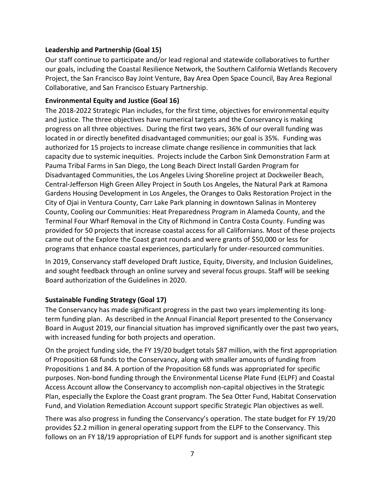### **Leadership and Partnership (Goal 15)**

Our staff continue to participate and/or lead regional and statewide collaboratives to further our goals, including the Coastal Resilience Network, the Southern California Wetlands Recovery Project, the San Francisco Bay Joint Venture, Bay Area Open Space Council, Bay Area Regional Collaborative, and San Francisco Estuary Partnership.

### **Environmental Equity and Justice (Goal 16)**

The 2018-2022 Strategic Plan includes, for the first time, objectives for environmental equity and justice. The three objectives have numerical targets and the Conservancy is making progress on all three objectives. During the first two years, 36% of our overall funding was located in or directly benefited disadvantaged communities; our goal is 35%. Funding was authorized for 15 projects to increase climate change resilience in communities that lack capacity due to systemic inequities. Projects include the Carbon Sink Demonstration Farm at Pauma Tribal Farms in San Diego, the Long Beach Direct Install Garden Program for Disadvantaged Communities, the Los Angeles Living Shoreline project at Dockweiler Beach, Central-Jefferson High Green Alley Project in South Los Angeles, the Natural Park at Ramona Gardens Housing Development in Los Angeles, the Oranges to Oaks Restoration Project in the City of Ojai in Ventura County, Carr Lake Park planning in downtown Salinas in Monterey County, Cooling our Communities: Heat Preparedness Program in Alameda County, and the Terminal Four Wharf Removal in the City of Richmond in Contra Costa County. Funding was provided for 50 projects that increase coastal access for all Californians. Most of these projects came out of the Explore the Coast grant rounds and were grants of \$50,000 or less for programs that enhance coastal experiences, particularly for under-resourced communities.

In 2019, Conservancy staff developed Draft Justice, Equity, Diversity, and Inclusion Guidelines, and sought feedback through an online survey and several focus groups. Staff will be seeking Board authorization of the Guidelines in 2020.

#### **Sustainable Funding Strategy (Goal 17)**

The Conservancy has made significant progress in the past two years implementing its longterm funding plan. As described in the Annual Financial Report presented to the Conservancy Board in August 2019, our financial situation has improved significantly over the past two years, with increased funding for both projects and operation.

On the project funding side, the FY 19/20 budget totals \$87 million, with the first appropriation of Proposition 68 funds to the Conservancy, along with smaller amounts of funding from Propositions 1 and 84. A portion of the Proposition 68 funds was appropriated for specific purposes. Non-bond funding through the Environmental License Plate Fund (ELPF) and Coastal Access Account allow the Conservancy to accomplish non-capital objectives in the Strategic Plan, especially the Explore the Coast grant program. The Sea Otter Fund, Habitat Conservation Fund, and Violation Remediation Account support specific Strategic Plan objectives as well.

There was also progress in funding the Conservancy's operation. The state budget for FY 19/20 provides \$2.2 million in general operating support from the ELPF to the Conservancy. This follows on an FY 18/19 appropriation of ELPF funds for support and is another significant step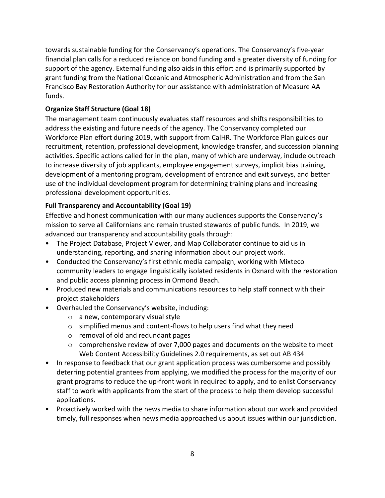towards sustainable funding for the Conservancy's operations. The Conservancy's five-year financial plan calls for a reduced reliance on bond funding and a greater diversity of funding for support of the agency. External funding also aids in this effort and is primarily supported by grant funding from the National Oceanic and Atmospheric Administration and from the San Francisco Bay Restoration Authority for our assistance with administration of Measure AA funds.

### **Organize Staff Structure (Goal 18)**

The management team continuously evaluates staff resources and shifts responsibilities to address the existing and future needs of the agency. The Conservancy completed our Workforce Plan effort during 2019, with support from CalHR. The Workforce Plan guides our recruitment, retention, professional development, knowledge transfer, and succession planning activities. Specific actions called for in the plan, many of which are underway, include outreach to increase diversity of job applicants, employee engagement surveys, implicit bias training, development of a mentoring program, development of entrance and exit surveys, and better use of the individual development program for determining training plans and increasing professional development opportunities.

### **Full Transparency and Accountability (Goal 19)**

Effective and honest communication with our many audiences supports the Conservancy's mission to serve all Californians and remain trusted stewards of public funds. In 2019, we advanced our transparency and accountability goals through:

- The Project Database, Project Viewer, and Map Collaborator continue to aid us in understanding, reporting, and sharing information about our project work.
- Conducted the Conservancy's first ethnic media campaign, working with Mixteco community leaders to engage linguistically isolated residents in Oxnard with the restoration and public access planning process in Ormond Beach.
- Produced new materials and communications resources to help staff connect with their project stakeholders
- Overhauled the Conservancy's website, including:
	- o a new, contemporary visual style
	- o simplified menus and content-flows to help users find what they need
	- o removal of old and redundant pages
	- $\circ$  comprehensive review of over 7,000 pages and documents on the website to meet Web Content Accessibility Guidelines 2.0 requirements, as set out AB 434
- In response to feedback that our grant application process was cumbersome and possibly deterring potential grantees from applying, we modified the process for the majority of our grant programs to reduce the up-front work in required to apply, and to enlist Conservancy staff to work with applicants from the start of the process to help them develop successful applications.
- Proactively worked with the news media to share information about our work and provided timely, full responses when news media approached us about issues within our jurisdiction.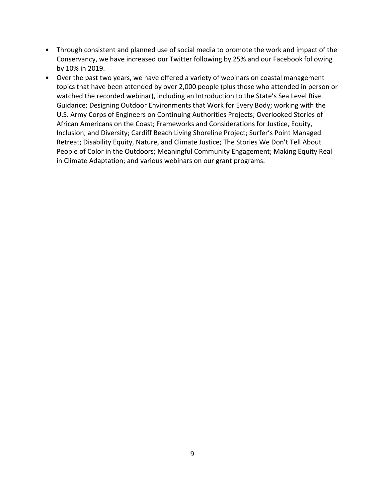- Through consistent and planned use of social media to promote the work and impact of the Conservancy, we have increased our Twitter following by 25% and our Facebook following by 10% in 2019.
- Over the past two years, we have offered a variety of webinars on coastal management topics that have been attended by over 2,000 people (plus those who attended in person or watched the recorded webinar), including an Introduction to the State's Sea Level Rise Guidance; Designing Outdoor Environments that Work for Every Body; working with the U.S. Army Corps of Engineers on Continuing Authorities Projects; Overlooked Stories of African Americans on the Coast; Frameworks and Considerations for Justice, Equity, Inclusion, and Diversity; Cardiff Beach Living Shoreline Project; Surfer's Point Managed Retreat; Disability Equity, Nature, and Climate Justice; The Stories We Don't Tell About People of Color in the Outdoors; Meaningful Community Engagement; Making Equity Real in Climate Adaptation; and various webinars on our grant programs.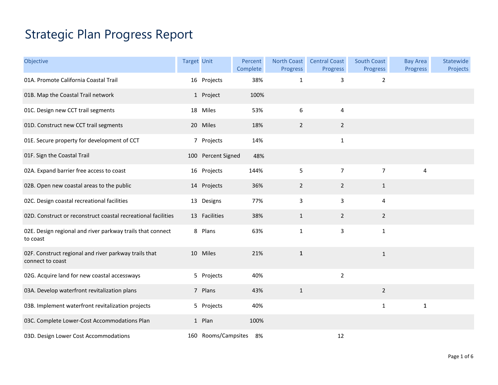## Strategic Plan Progress Report

| Objective                                                                 | <b>Target Unit</b> |                     | Percent<br>Complete | <b>North Coast</b><br>Progress | <b>Central Coast</b><br>Progress | South Coast<br><b>Progress</b> | <b>Bay Area</b><br>Progress | Statewide<br>Projects |
|---------------------------------------------------------------------------|--------------------|---------------------|---------------------|--------------------------------|----------------------------------|--------------------------------|-----------------------------|-----------------------|
| 01A. Promote California Coastal Trail                                     |                    | 16 Projects         | 38%                 | $\mathbf{1}$                   | 3                                | $\overline{2}$                 |                             |                       |
| 01B. Map the Coastal Trail network                                        |                    | 1 Project           | 100%                |                                |                                  |                                |                             |                       |
| 01C. Design new CCT trail segments                                        |                    | 18 Miles            | 53%                 | 6                              | 4                                |                                |                             |                       |
| 01D. Construct new CCT trail segments                                     |                    | 20 Miles            | 18%                 | $\overline{2}$                 | $\overline{2}$                   |                                |                             |                       |
| 01E. Secure property for development of CCT                               |                    | 7 Projects          | 14%                 |                                | $\mathbf 1$                      |                                |                             |                       |
| 01F. Sign the Coastal Trail                                               |                    | 100 Percent Signed  | 48%                 |                                |                                  |                                |                             |                       |
| 02A. Expand barrier free access to coast                                  |                    | 16 Projects         | 144%                | 5                              | $\overline{7}$                   | $\overline{7}$                 | 4                           |                       |
| 02B. Open new coastal areas to the public                                 |                    | 14 Projects         | 36%                 | $\overline{2}$                 | $\overline{2}$                   | $\mathbf{1}$                   |                             |                       |
| 02C. Design coastal recreational facilities                               |                    | 13 Designs          | 77%                 | 3                              | 3                                | 4                              |                             |                       |
| 02D. Construct or reconstruct coastal recreational facilities             |                    | 13 Facilities       | 38%                 | $\mathbf{1}$                   | $\overline{2}$                   | $\overline{2}$                 |                             |                       |
| 02E. Design regional and river parkway trails that connect<br>to coast    |                    | 8 Plans             | 63%                 | $\mathbf{1}$                   | 3                                | $\mathbf{1}$                   |                             |                       |
| 02F. Construct regional and river parkway trails that<br>connect to coast |                    | 10 Miles            | 21%                 | $\mathbf{1}$                   |                                  | $\mathbf{1}$                   |                             |                       |
| 02G. Acquire land for new coastal accessways                              |                    | 5 Projects          | 40%                 |                                | $\overline{2}$                   |                                |                             |                       |
| 03A. Develop waterfront revitalization plans                              |                    | 7 Plans             | 43%                 | $\mathbf{1}$                   |                                  | $\overline{2}$                 |                             |                       |
| 03B. Implement waterfront revitalization projects                         |                    | 5 Projects          | 40%                 |                                |                                  | $\mathbf{1}$                   | $\mathbf{1}$                |                       |
| 03C. Complete Lower-Cost Accommodations Plan                              |                    | 1 Plan              | 100%                |                                |                                  |                                |                             |                       |
| 03D. Design Lower Cost Accommodations                                     |                    | 160 Rooms/Campsites | 8%                  |                                | 12                               |                                |                             |                       |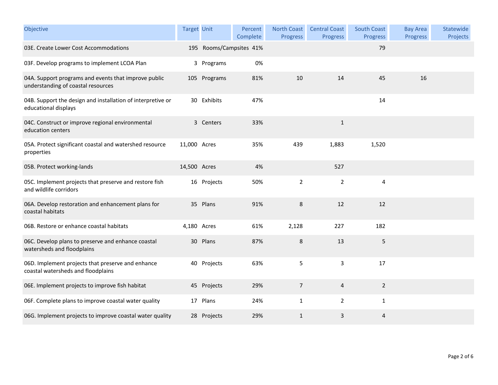| Objective                                                                                  | <b>Target Unit</b> |                         | Percent<br>Complete | <b>North Coast</b><br>Progress | <b>Central Coast</b><br>Progress | South Coast<br><b>Progress</b> | <b>Bay Area</b><br>Progress | Statewide<br>Projects |
|--------------------------------------------------------------------------------------------|--------------------|-------------------------|---------------------|--------------------------------|----------------------------------|--------------------------------|-----------------------------|-----------------------|
| 03E. Create Lower Cost Accommodations                                                      |                    | 195 Rooms/Campsites 41% |                     |                                |                                  | 79                             |                             |                       |
| 03F. Develop programs to implement LCOA Plan                                               |                    | 3 Programs              | 0%                  |                                |                                  |                                |                             |                       |
| 04A. Support programs and events that improve public<br>understanding of coastal resources |                    | 105 Programs            | 81%                 | 10                             | 14                               | 45                             | 16                          |                       |
| 04B. Support the design and installation of interpretive or<br>educational displays        |                    | 30 Exhibits             | 47%                 |                                |                                  | 14                             |                             |                       |
| 04C. Construct or improve regional environmental<br>education centers                      |                    | 3 Centers               | 33%                 |                                | $\mathbf{1}$                     |                                |                             |                       |
| 05A. Protect significant coastal and watershed resource<br>properties                      | 11,000 Acres       |                         | 35%                 | 439                            | 1,883                            | 1,520                          |                             |                       |
| 05B. Protect working-lands                                                                 | 14,500 Acres       |                         | 4%                  |                                | 527                              |                                |                             |                       |
| 05C. Implement projects that preserve and restore fish<br>and wildlife corridors           |                    | 16 Projects             | 50%                 | $\overline{2}$                 | $\overline{2}$                   | 4                              |                             |                       |
| 06A. Develop restoration and enhancement plans for<br>coastal habitats                     |                    | 35 Plans                | 91%                 | 8                              | 12                               | 12                             |                             |                       |
| 06B. Restore or enhance coastal habitats                                                   | 4,180 Acres        |                         | 61%                 | 2,128                          | 227                              | 182                            |                             |                       |
| 06C. Develop plans to preserve and enhance coastal<br>watersheds and floodplains           |                    | 30 Plans                | 87%                 | 8                              | 13                               | 5                              |                             |                       |
| 06D. Implement projects that preserve and enhance<br>coastal watersheds and floodplains    |                    | 40 Projects             | 63%                 | 5                              | $\mathsf 3$                      | 17                             |                             |                       |
| 06E. Implement projects to improve fish habitat                                            |                    | 45 Projects             | 29%                 | $\overline{7}$                 | 4                                | $\overline{2}$                 |                             |                       |
| 06F. Complete plans to improve coastal water quality                                       |                    | 17 Plans                | 24%                 | $\mathbf{1}$                   | 2                                | $\mathbf{1}$                   |                             |                       |
| 06G. Implement projects to improve coastal water quality                                   |                    | 28 Projects             | 29%                 | $\mathbf{1}$                   | 3                                | $\overline{4}$                 |                             |                       |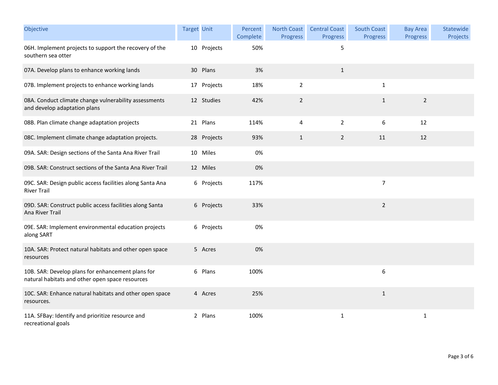| Objective                                                                                            | <b>Target Unit</b> |             | Percent<br>Complete | <b>North Coast</b><br><b>Progress</b> | <b>Central Coast</b><br>Progress | South Coast<br>Progress | <b>Bay Area</b><br><b>Progress</b> | Statewide<br>Projects |
|------------------------------------------------------------------------------------------------------|--------------------|-------------|---------------------|---------------------------------------|----------------------------------|-------------------------|------------------------------------|-----------------------|
| 06H. Implement projects to support the recovery of the<br>southern sea otter                         |                    | 10 Projects | 50%                 |                                       | 5                                |                         |                                    |                       |
| 07A. Develop plans to enhance working lands                                                          |                    | 30 Plans    | 3%                  |                                       | $\mathbf{1}$                     |                         |                                    |                       |
| 07B. Implement projects to enhance working lands                                                     |                    | 17 Projects | 18%                 | $\overline{2}$                        |                                  | 1                       |                                    |                       |
| 08A. Conduct climate change vulnerability assessments<br>and develop adaptation plans                |                    | 12 Studies  | 42%                 | $\overline{2}$                        |                                  | $1\,$                   | $\sqrt{2}$                         |                       |
| 08B. Plan climate change adaptation projects                                                         |                    | 21 Plans    | 114%                | 4                                     | $\overline{2}$                   | 6                       | 12                                 |                       |
| 08C. Implement climate change adaptation projects.                                                   |                    | 28 Projects | 93%                 | $\mathbf{1}$                          | $\overline{2}$                   | 11                      | 12                                 |                       |
| 09A. SAR: Design sections of the Santa Ana River Trail                                               |                    | 10 Miles    | 0%                  |                                       |                                  |                         |                                    |                       |
| 09B. SAR: Construct sections of the Santa Ana River Trail                                            |                    | 12 Miles    | 0%                  |                                       |                                  |                         |                                    |                       |
| 09C. SAR: Design public access facilities along Santa Ana<br><b>River Trail</b>                      |                    | 6 Projects  | 117%                |                                       |                                  | $\overline{7}$          |                                    |                       |
| 09D. SAR: Construct public access facilities along Santa<br>Ana River Trail                          |                    | 6 Projects  | 33%                 |                                       |                                  | $\overline{2}$          |                                    |                       |
| 09E. SAR: Implement environmental education projects<br>along SART                                   |                    | 6 Projects  | 0%                  |                                       |                                  |                         |                                    |                       |
| 10A. SAR: Protect natural habitats and other open space<br>resources                                 |                    | 5 Acres     | 0%                  |                                       |                                  |                         |                                    |                       |
| 10B. SAR: Develop plans for enhancement plans for<br>natural habitats and other open space resources |                    | 6 Plans     | 100%                |                                       |                                  | 6                       |                                    |                       |
| 10C. SAR: Enhance natural habitats and other open space<br>resources.                                |                    | 4 Acres     | 25%                 |                                       |                                  | $\mathbf{1}$            |                                    |                       |
| 11A. SFBay: Identify and prioritize resource and<br>recreational goals                               |                    | 2 Plans     | 100%                |                                       | $\mathbf{1}$                     |                         | $\mathbf 1$                        |                       |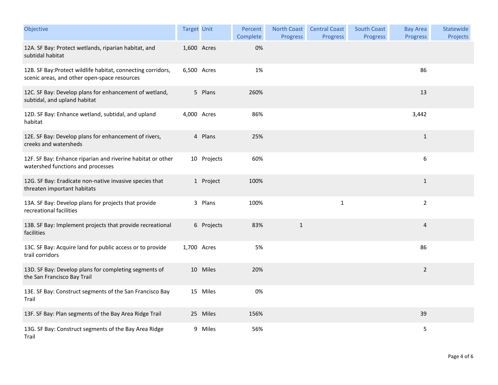| Objective                                                                                                    | <b>Target Unit</b> |             | Percent<br>Complete | North Coast<br>Progress | <b>Central Coast</b><br>Progress | South Coast<br><b>Progress</b> | <b>Bay Area</b><br>Progress | Statewide<br>Projects |
|--------------------------------------------------------------------------------------------------------------|--------------------|-------------|---------------------|-------------------------|----------------------------------|--------------------------------|-----------------------------|-----------------------|
| 12A. SF Bay: Protect wetlands, riparian habitat, and<br>subtidal habitat                                     | 1,600 Acres        |             | 0%                  |                         |                                  |                                |                             |                       |
| 12B. SF Bay: Protect wildlife habitat, connecting corridors,<br>scenic areas, and other open-space resources | 6,500 Acres        |             | 1%                  |                         |                                  |                                | 86                          |                       |
| 12C. SF Bay: Develop plans for enhancement of wetland,<br>subtidal, and upland habitat                       |                    | 5 Plans     | 260%                |                         |                                  |                                | 13                          |                       |
| 12D. SF Bay: Enhance wetland, subtidal, and upland<br>habitat                                                | 4,000 Acres        |             | 86%                 |                         |                                  |                                | 3,442                       |                       |
| 12E. SF Bay: Develop plans for enhancement of rivers,<br>creeks and watersheds                               |                    | 4 Plans     | 25%                 |                         |                                  |                                | $\mathbf{1}$                |                       |
| 12F. SF Bay: Enhance riparian and riverine habitat or other<br>watershed functions and processes             |                    | 10 Projects | 60%                 |                         |                                  |                                | $\boldsymbol{6}$            |                       |
| 12G. SF Bay: Eradicate non-native invasive species that<br>threaten important habitats                       |                    | 1 Project   | 100%                |                         |                                  |                                | $\mathbf{1}$                |                       |
| 13A. SF Bay: Develop plans for projects that provide<br>recreational facilities                              |                    | 3 Plans     | 100%                |                         | $\mathbf{1}$                     |                                | $\overline{2}$              |                       |
| 13B. SF Bay: Implement projects that provide recreational<br>facilities                                      |                    | 6 Projects  | 83%                 | $\mathbf{1}$            |                                  |                                | $\sqrt{4}$                  |                       |
| 13C. SF Bay: Acquire land for public access or to provide<br>trail corridors                                 | 1,700 Acres        |             | 5%                  |                         |                                  |                                | 86                          |                       |
| 13D. SF Bay: Develop plans for completing segments of<br>the San Francisco Bay Trail                         |                    | 10 Miles    | 20%                 |                         |                                  |                                | $\overline{2}$              |                       |
| 13E. SF Bay: Construct segments of the San Francisco Bay<br>Trail                                            |                    | 15 Miles    | 0%                  |                         |                                  |                                |                             |                       |
| 13F. SF Bay: Plan segments of the Bay Area Ridge Trail                                                       |                    | 25 Miles    | 156%                |                         |                                  |                                | 39                          |                       |
| 13G. SF Bay: Construct segments of the Bay Area Ridge<br>Trail                                               |                    | 9 Miles     | 56%                 |                         |                                  |                                | $\mathsf S$                 |                       |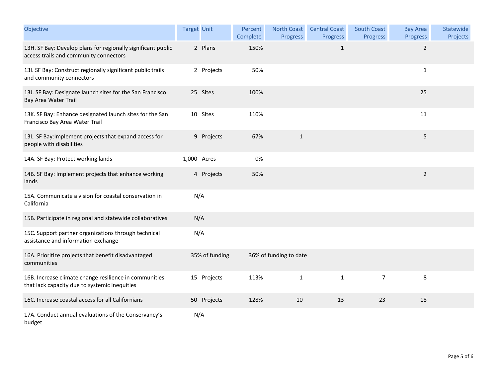| Objective                                                                                               | <b>Target Unit</b> |                | Percent<br>Complete | <b>North Coast</b><br><b>Progress</b> | <b>Central Coast</b><br>Progress | <b>South Coast</b><br>Progress | <b>Bay Area</b><br>Progress | Statewide<br>Projects |
|---------------------------------------------------------------------------------------------------------|--------------------|----------------|---------------------|---------------------------------------|----------------------------------|--------------------------------|-----------------------------|-----------------------|
| 13H. SF Bay: Develop plans for regionally significant public<br>access trails and community connectors  |                    | 2 Plans        | 150%                |                                       | $\mathbf 1$                      |                                | $\overline{2}$              |                       |
| 13I. SF Bay: Construct regionally significant public trails<br>and community connectors                 |                    | 2 Projects     | 50%                 |                                       |                                  |                                | $\mathbf{1}$                |                       |
| 13J. SF Bay: Designate launch sites for the San Francisco<br>Bay Area Water Trail                       |                    | 25 Sites       | 100%                |                                       |                                  |                                | 25                          |                       |
| 13K. SF Bay: Enhance designated launch sites for the San<br>Francisco Bay Area Water Trail              |                    | 10 Sites       | 110%                |                                       |                                  |                                | 11                          |                       |
| 13L. SF Bay: Implement projects that expand access for<br>people with disabilities                      |                    | 9 Projects     | 67%                 | $\mathbf{1}$                          |                                  |                                | 5                           |                       |
| 14A. SF Bay: Protect working lands                                                                      | 1,000 Acres        |                | 0%                  |                                       |                                  |                                |                             |                       |
| 14B. SF Bay: Implement projects that enhance working<br>lands                                           |                    | 4 Projects     | 50%                 |                                       |                                  |                                | $\overline{2}$              |                       |
| 15A. Communicate a vision for coastal conservation in<br>California                                     | N/A                |                |                     |                                       |                                  |                                |                             |                       |
| 15B. Participate in regional and statewide collaboratives                                               | N/A                |                |                     |                                       |                                  |                                |                             |                       |
| 15C. Support partner organizations through technical<br>assistance and information exchange             | N/A                |                |                     |                                       |                                  |                                |                             |                       |
| 16A. Prioritize projects that benefit disadvantaged<br>communities                                      |                    | 35% of funding |                     | 36% of funding to date                |                                  |                                |                             |                       |
| 16B. Increase climate change resilience in communities<br>that lack capacity due to systemic inequities |                    | 15 Projects    | 113%                | $\mathbf{1}$                          | $\mathbf{1}$                     | $\overline{7}$                 | 8                           |                       |
| 16C. Increase coastal access for all Californians                                                       |                    | 50 Projects    | 128%                | 10                                    | 13                               | 23                             | 18                          |                       |
| 17A. Conduct annual evaluations of the Conservancy's<br>budget                                          | N/A                |                |                     |                                       |                                  |                                |                             |                       |